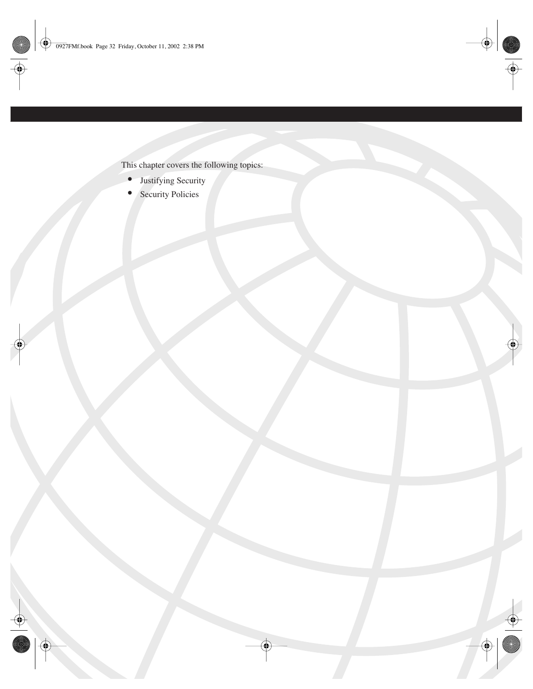This chapter covers the following topics:

- Justifying Security
- Security Policies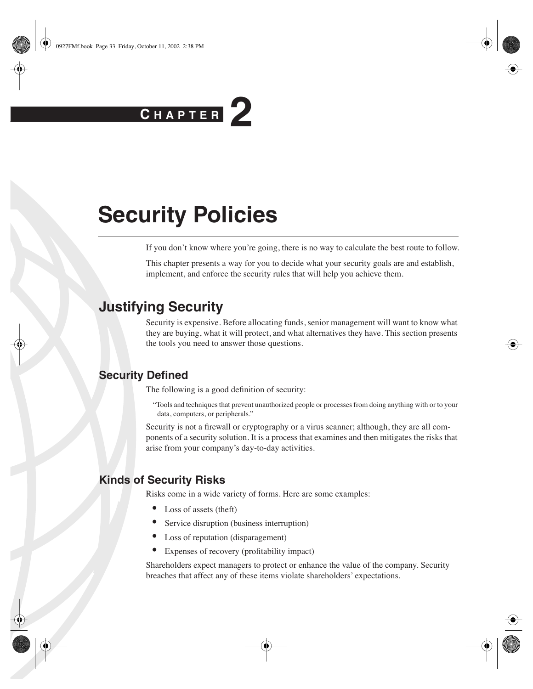# **C H <sup>A</sup> <sup>P</sup> <sup>T</sup> <sup>E</sup> <sup>R</sup> 2**

## **Security Policies**

If you don't know where you're going, there is no way to calculate the best route to follow.

This chapter presents a way for you to decide what your security goals are and establish, implement, and enforce the security rules that will help you achieve them.

## **Justifying Security**

Security is expensive. Before allocating funds, senior management will want to know what they are buying, what it will protect, and what alternatives they have. This section presents the tools you need to answer those questions.

## **Security Defined**

The following is a good definition of security:

"Tools and techniques that prevent unauthorized people or processes from doing anything with or to your data, computers, or peripherals."

Security is not a firewall or cryptography or a virus scanner; although, they are all components of a security solution. It is a process that examines and then mitigates the risks that arise from your company's day-to-day activities.

## **Kinds of Security Risks**

Risks come in a wide variety of forms. Here are some examples:

- Loss of assets (theft)
- Service disruption (business interruption)
- Loss of reputation (disparagement)
- Expenses of recovery (profitability impact)

Shareholders expect managers to protect or enhance the value of the company. Security breaches that affect any of these items violate shareholders' expectations.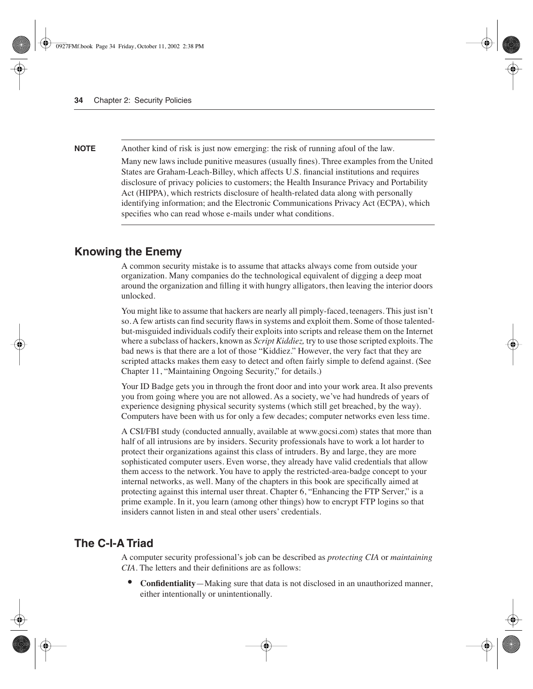**NOTE** Another kind of risk is just now emerging: the risk of running afoul of the law.

Many new laws include punitive measures (usually fines). Three examples from the United States are Graham-Leach-Billey, which affects U.S. financial institutions and requires disclosure of privacy policies to customers; the Health Insurance Privacy and Portability Act (HIPPA), which restricts disclosure of health-related data along with personally identifying information; and the Electronic Communications Privacy Act (ECPA), which specifies who can read whose e-mails under what conditions.

#### **Knowing the Enemy**

A common security mistake is to assume that attacks always come from outside your organization. Many companies do the technological equivalent of digging a deep moat around the organization and filling it with hungry alligators, then leaving the interior doors unlocked.

You might like to assume that hackers are nearly all pimply-faced, teenagers. This just isn't so. A few artists can find security flaws in systems and exploit them. Some of those talentedbut-misguided individuals codify their exploits into scripts and release them on the Internet where a subclass of hackers, known as *Script Kiddiez,* try to use those scripted exploits. The bad news is that there are a lot of those "Kiddiez." However, the very fact that they are scripted attacks makes them easy to detect and often fairly simple to defend against. (See Chapter 11, "Maintaining Ongoing Security," for details.)

Your ID Badge gets you in through the front door and into your work area. It also prevents you from going where you are not allowed. As a society, we've had hundreds of years of experience designing physical security systems (which still get breached, by the way). Computers have been with us for only a few decades; computer networks even less time.

A CSI/FBI study (conducted annually, available at www.gocsi.com) states that more than half of all intrusions are by insiders. Security professionals have to work a lot harder to protect their organizations against this class of intruders. By and large, they are more sophisticated computer users. Even worse, they already have valid credentials that allow them access to the network. You have to apply the restricted-area-badge concept to your internal networks, as well. Many of the chapters in this book are specifically aimed at protecting against this internal user threat. Chapter 6, "Enhancing the FTP Server," is a prime example. In it, you learn (among other things) how to encrypt FTP logins so that insiders cannot listen in and steal other users' credentials.

## **The C-I-A Triad**

A computer security professional's job can be described as *protecting CIA* or *maintaining CIA*. The letters and their definitions are as follows:

• **Confidentiality**—Making sure that data is not disclosed in an unauthorized manner, either intentionally or unintentionally.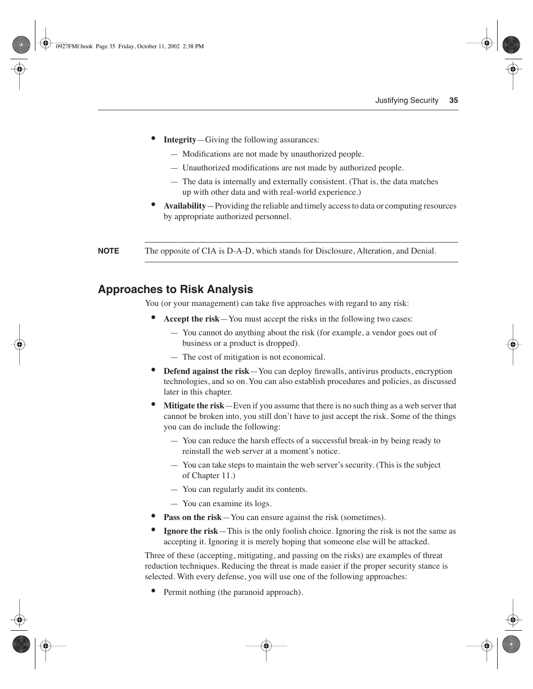- **Integrity**—Giving the following assurances:
	- Modifications are not made by unauthorized people.
	- Unauthorized modifications are not made by authorized people.
	- The data is internally and externally consistent. (That is, the data matches up with other data and with real-world experience.)
- **Availability**—Providing the reliable and timely access to data or computing resources by appropriate authorized personnel.

**NOTE** The opposite of CIA is D-A-D, which stands for Disclosure, Alteration, and Denial.

## **Approaches to Risk Analysis**

You (or your management) can take five approaches with regard to any risk:

- **Accept the risk**—You must accept the risks in the following two cases:
	- You cannot do anything about the risk (for example, a vendor goes out of business or a product is dropped).
	- The cost of mitigation is not economical.
- **Defend against the risk**—You can deploy firewalls, antivirus products, encryption technologies, and so on. You can also establish procedures and policies, as discussed later in this chapter.
- **Mitigate the risk**—Even if you assume that there is no such thing as a web server that cannot be broken into, you still don't have to just accept the risk. Some of the things you can do include the following:
	- You can reduce the harsh effects of a successful break-in by being ready to reinstall the web server at a moment's notice.
	- You can take steps to maintain the web server's security. (This is the subject of Chapter 11.)
	- You can regularly audit its contents.
	- You can examine its logs.
- **Pass on the risk**—You can ensure against the risk (sometimes).
- **Ignore the risk**—This is the only foolish choice. Ignoring the risk is not the same as accepting it. Ignoring it is merely hoping that someone else will be attacked.

Three of these (accepting, mitigating, and passing on the risks) are examples of threat reduction techniques. Reducing the threat is made easier if the proper security stance is selected. With every defense, you will use one of the following approaches:

• Permit nothing (the paranoid approach).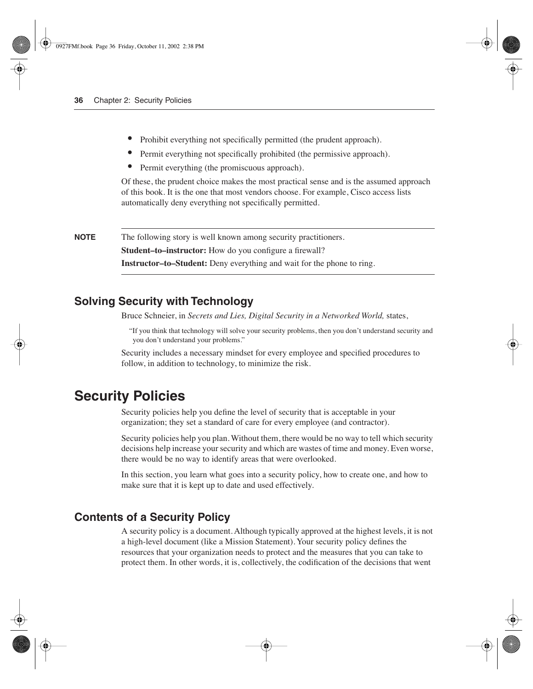- Prohibit everything not specifically permitted (the prudent approach).
- Permit everything not specifically prohibited (the permissive approach).
- Permit everything (the promiscuous approach).

Of these, the prudent choice makes the most practical sense and is the assumed approach of this book. It is the one that most vendors choose. For example, Cisco access lists automatically deny everything not specifically permitted.

**NOTE** The following story is well known among security practitioners. **Student–to–instructor:** How do you configure a firewall? **Instructor–to–Student:** Deny everything and wait for the phone to ring.

## **Solving Security with Technology**

Bruce Schneier, in *Secrets and Lies, Digital Security in a Networked World,* states,

"If you think that technology will solve your security problems, then you don't understand security and you don't understand your problems."

Security includes a necessary mindset for every employee and specified procedures to follow, in addition to technology, to minimize the risk.

## **Security Policies**

Security policies help you define the level of security that is acceptable in your organization; they set a standard of care for every employee (and contractor).

Security policies help you plan. Without them, there would be no way to tell which security decisions help increase your security and which are wastes of time and money. Even worse, there would be no way to identify areas that were overlooked.

In this section, you learn what goes into a security policy, how to create one, and how to make sure that it is kept up to date and used effectively.

#### **Contents of a Security Policy**

A security policy is a document. Although typically approved at the highest levels, it is not a high-level document (like a Mission Statement). Your security policy defines the resources that your organization needs to protect and the measures that you can take to protect them. In other words, it is, collectively, the codification of the decisions that went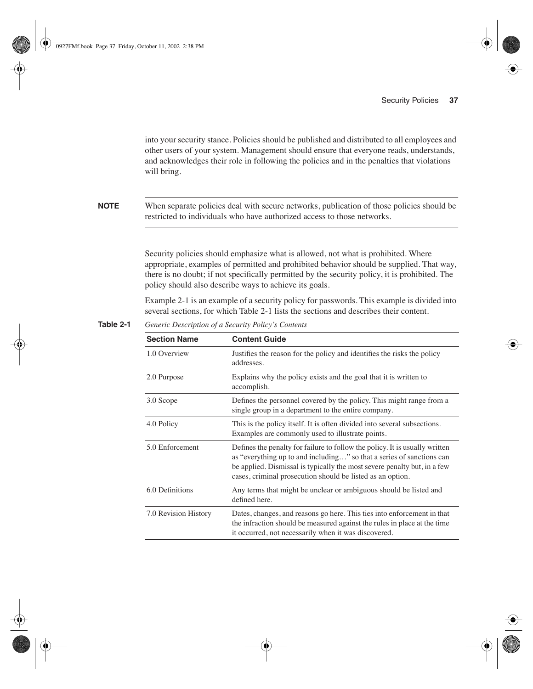into your security stance. Policies should be published and distributed to all employees and other users of your system. Management should ensure that everyone reads, understands, and acknowledges their role in following the policies and in the penalties that violations will bring.

**NOTE** When separate policies deal with secure networks, publication of those policies should be restricted to individuals who have authorized access to those networks.

> Security policies should emphasize what is allowed, not what is prohibited. Where appropriate, examples of permitted and prohibited behavior should be supplied. That way, there is no doubt; if not specifically permitted by the security policy, it is prohibited. The policy should also describe ways to achieve its goals.

> Example 2-1 is an example of a security policy for passwords. This example is divided into several sections, for which Table 2-1 lists the sections and describes their content.

**Table 2-1** *Generic Description of a Security Policy's Contents*

| <b>Section Name</b>  | <b>Content Guide</b>                                                                                                                                                                                                                                                                           |
|----------------------|------------------------------------------------------------------------------------------------------------------------------------------------------------------------------------------------------------------------------------------------------------------------------------------------|
| 1.0 Overview         | Justifies the reason for the policy and identifies the risks the policy<br>addresses.                                                                                                                                                                                                          |
| 2.0 Purpose          | Explains why the policy exists and the goal that it is written to<br>accomplish.                                                                                                                                                                                                               |
| 3.0 Scope            | Defines the personnel covered by the policy. This might range from a<br>single group in a department to the entire company.                                                                                                                                                                    |
| 4.0 Policy           | This is the policy itself. It is often divided into several subsections.<br>Examples are commonly used to illustrate points.                                                                                                                                                                   |
| 5.0 Enforcement      | Defines the penalty for failure to follow the policy. It is usually written<br>as "everything up to and including" so that a series of sanctions can<br>be applied. Dismissal is typically the most severe penalty but, in a few<br>cases, criminal prosecution should be listed as an option. |
| 6.0 Definitions      | Any terms that might be unclear or ambiguous should be listed and<br>defined here.                                                                                                                                                                                                             |
| 7.0 Revision History | Dates, changes, and reasons go here. This ties into enforcement in that<br>the infraction should be measured against the rules in place at the time<br>it occurred, not necessarily when it was discovered.                                                                                    |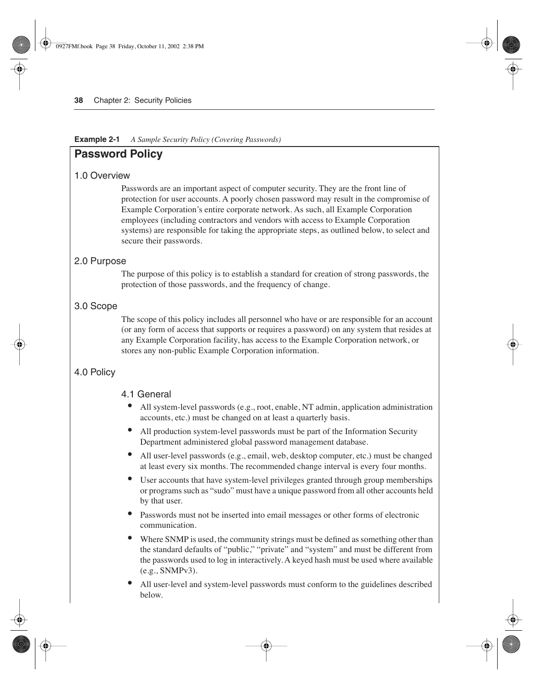#### **Example 2-1** *A Sample Security Policy (Covering Passwords)*

## **Password Policy**

#### 1.0 Overview

Passwords are an important aspect of computer security. They are the front line of protection for user accounts. A poorly chosen password may result in the compromise of Example Corporation's entire corporate network. As such, all Example Corporation employees (including contractors and vendors with access to Example Corporation systems) are responsible for taking the appropriate steps, as outlined below, to select and secure their passwords.

#### 2.0 Purpose

The purpose of this policy is to establish a standard for creation of strong passwords, the protection of those passwords, and the frequency of change.

#### 3.0 Scope

The scope of this policy includes all personnel who have or are responsible for an account (or any form of access that supports or requires a password) on any system that resides at any Example Corporation facility, has access to the Example Corporation network, or stores any non-public Example Corporation information.

#### 4.0 Policy

#### 4.1 General

- All system-level passwords (e.g., root, enable, NT admin, application administration accounts, etc.) must be changed on at least a quarterly basis.
- All production system-level passwords must be part of the Information Security Department administered global password management database.
- All user-level passwords (e.g., email, web, desktop computer, etc.) must be changed at least every six months. The recommended change interval is every four months.
- User accounts that have system-level privileges granted through group memberships or programs such as "sudo" must have a unique password from all other accounts held by that user.
- Passwords must not be inserted into email messages or other forms of electronic communication.
- Where SNMP is used, the community strings must be defined as something other than the standard defaults of "public," "private" and "system" and must be different from the passwords used to log in interactively. A keyed hash must be used where available (e.g., SNMPv3).
- All user-level and system-level passwords must conform to the guidelines described below.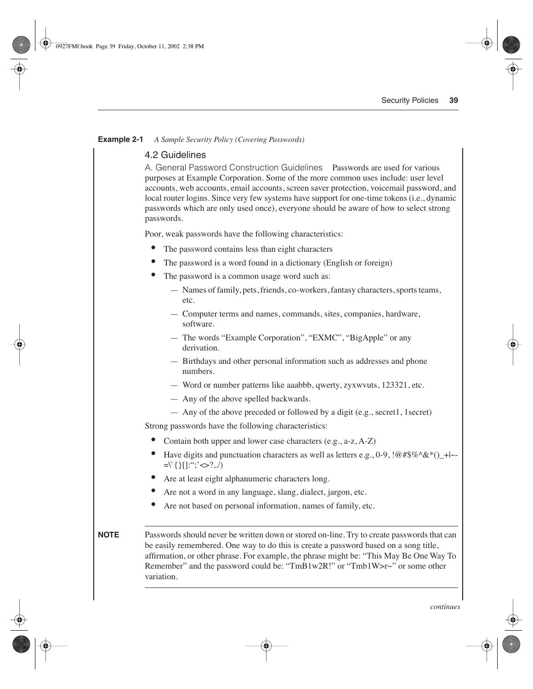```
Example 2-1 A Sample Security Policy (Covering Passwords)
```
#### 4.2 Guidelines

A. General Password Construction Guidelines Passwords are used for various purposes at Example Corporation. Some of the more common uses include: user level accounts, web accounts, email accounts, screen saver protection, voicemail password, and local router logins. Since very few systems have support for one-time tokens (i.e., dynamic passwords which are only used once), everyone should be aware of how to select strong passwords.

Poor, weak passwords have the following characteristics:

- The password contains less than eight characters
- The password is a word found in a dictionary (English or foreign)
- The password is a common usage word such as:
	- Names of family, pets, friends, co-workers, fantasy characters, sports teams, etc.
	- Computer terms and names, commands, sites, companies, hardware, software.
	- The words "Example Corporation", "EXMC", "BigApple" or any derivation.
	- Birthdays and other personal information such as addresses and phone numbers.
	- Word or number patterns like aaabbb, qwerty, zyxwvuts, 123321, etc.
	- Any of the above spelled backwards.
	- Any of the above preceded or followed by a digit (e.g., secret1, 1secret)

Strong passwords have the following characteristics:

- Contain both upper and lower case characters (e.g., a-z, A-Z)
- Have digits and punctuation characters as well as letters e.g., 0-9,  $\langle \omega \# \$ \% \wedge \& \*$  () +  $\sim$  $=\left[\frac{1}{2}\right]\left[\frac{1}{2}\right]$ :";' $\left(\frac{1}{2}\right)\left(\frac{1}{2}\right)$
- Are at least eight alphanumeric characters long.
- Are not a word in any language, slang, dialect, jargon, etc.
- Are not based on personal information, names of family, etc.

**NOTE** Passwords should never be written down or stored on-line. Try to create passwords that can be easily remembered. One way to do this is create a password based on a song title, affirmation, or other phrase. For example, the phrase might be: "This May Be One Way To Remember" and the password could be: "TmB1w2R!" or "Tmb1W>r~" or some other variation.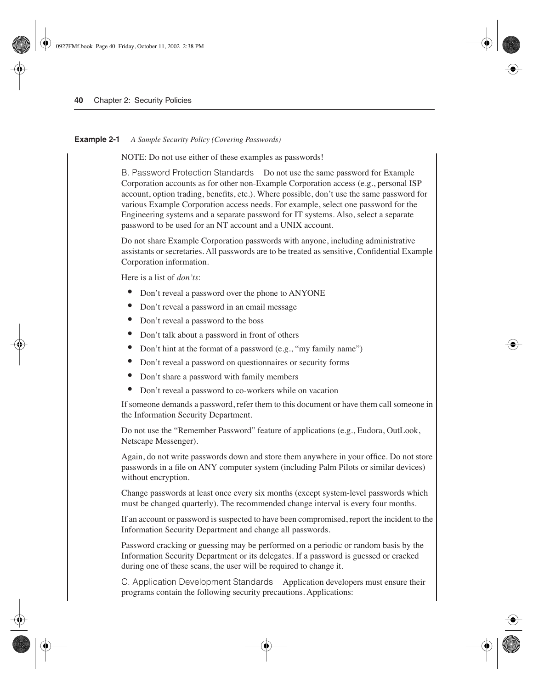#### **Example 2-1** *A Sample Security Policy (Covering Passwords)*

NOTE: Do not use either of these examples as passwords!

B. Password Protection Standards Do not use the same password for Example Corporation accounts as for other non-Example Corporation access (e.g., personal ISP account, option trading, benefits, etc.). Where possible, don't use the same password for various Example Corporation access needs. For example, select one password for the Engineering systems and a separate password for IT systems. Also, select a separate password to be used for an NT account and a UNIX account.

Do not share Example Corporation passwords with anyone, including administrative assistants or secretaries. All passwords are to be treated as sensitive, Confidential Example Corporation information.

Here is a list of *don'ts*:

- Don't reveal a password over the phone to ANYONE
- Don't reveal a password in an email message
- Don't reveal a password to the boss
- Don't talk about a password in front of others
- Don't hint at the format of a password (e.g., "my family name")
- Don't reveal a password on questionnaires or security forms
- Don't share a password with family members
- Don't reveal a password to co-workers while on vacation

If someone demands a password, refer them to this document or have them call someone in the Information Security Department.

Do not use the "Remember Password" feature of applications (e.g., Eudora, OutLook, Netscape Messenger).

Again, do not write passwords down and store them anywhere in your office. Do not store passwords in a file on ANY computer system (including Palm Pilots or similar devices) without encryption.

Change passwords at least once every six months (except system-level passwords which must be changed quarterly). The recommended change interval is every four months.

If an account or password is suspected to have been compromised, report the incident to the Information Security Department and change all passwords.

Password cracking or guessing may be performed on a periodic or random basis by the Information Security Department or its delegates. If a password is guessed or cracked during one of these scans, the user will be required to change it.

C. Application Development Standards Application developers must ensure their programs contain the following security precautions. Applications: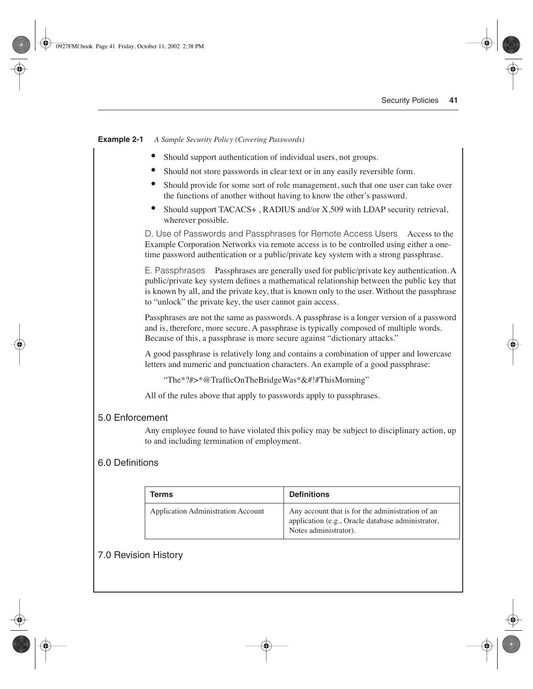

- Should support authentication of individual users, not groups.
- Should not store passwords in clear text or in any easily reversible form.
- Should provide for some sort of role management, such that one user can take over the functions of another without having to know the other's password.
- Should support TACACS+ , RADIUS and/or X.509 with LDAP security retrieval, wherever possible.

D. Use of Passwords and Passphrases for Remote Access Users Access to the Example Corporation Networks via remote access is to be controlled using either a onetime password authentication or a public/private key system with a strong passphrase.

E. Passphrases Passphrases are generally used for public/private key authentication. A public/private key system defines a mathematical relationship between the public key that is known by all, and the private key, that is known only to the user. Without the passphrase to "unlock" the private key, the user cannot gain access.

Passphrases are not the same as passwords. A passphrase is a longer version of a password and is, therefore, more secure. A passphrase is typically composed of multiple words. Because of this, a passphrase is more secure against "dictionary attacks."

A good passphrase is relatively long and contains a combination of upper and lowercase letters and numeric and punctuation characters. An example of a good passphrase:

"The\*?#>\*@TrafficOnTheBridgeWas\*&#!#ThisMorning"

All of the rules above that apply to passwords apply to passphrases.

#### 5.0 Enforcement

Any employee found to have violated this policy may be subject to disciplinary action, up to and including termination of employment.

#### 6.0 Definitions

| Terms                                     | <b>Definitions</b>                                                                                                             |
|-------------------------------------------|--------------------------------------------------------------------------------------------------------------------------------|
| <b>Application Administration Account</b> | Any account that is for the administration of an<br>application (e.g., Oracle database administrator,<br>Notes administrator). |

#### 7.0 Revision History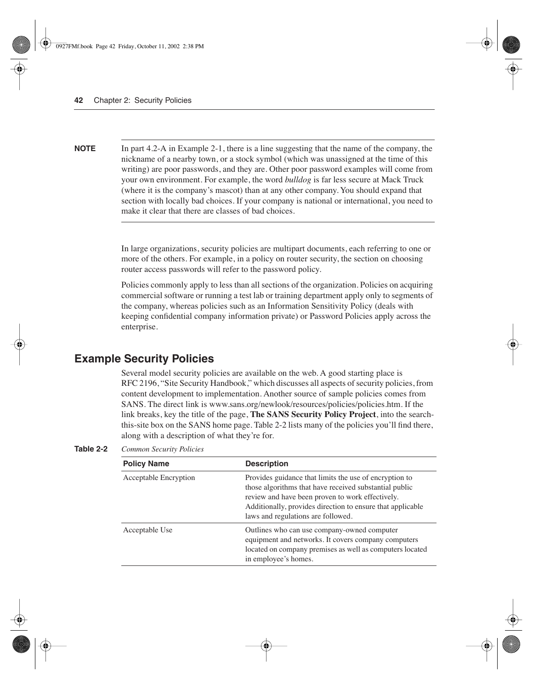**NOTE** In part 4.2-A in Example 2-1, there is a line suggesting that the name of the company, the nickname of a nearby town, or a stock symbol (which was unassigned at the time of this writing) are poor passwords, and they are. Other poor password examples will come from your own environment. For example, the word *bulldog* is far less secure at Mack Truck (where it is the company's mascot) than at any other company. You should expand that section with locally bad choices. If your company is national or international, you need to make it clear that there are classes of bad choices.

> In large organizations, security policies are multipart documents, each referring to one or more of the others. For example, in a policy on router security, the section on choosing router access passwords will refer to the password policy.

> Policies commonly apply to less than all sections of the organization. Policies on acquiring commercial software or running a test lab or training department apply only to segments of the company, whereas policies such as an Information Sensitivity Policy (deals with keeping confidential company information private) or Password Policies apply across the enterprise.

## **Example Security Policies**

Several model security policies are available on the web. A good starting place is RFC 2196, "Site Security Handbook," which discusses all aspects of security policies, from content development to implementation. Another source of sample policies comes from SANS. The direct link is www.sans.org/newlook/resources/policies/policies.htm. If the link breaks, key the title of the page, **The SANS Security Policy Project**, into the searchthis-site box on the SANS home page. Table 2-2 lists many of the policies you'll find there, along with a description of what they're for.

| <b>Policy Name</b>    | <b>Description</b>                                                                                                                                                                                                                                                       |
|-----------------------|--------------------------------------------------------------------------------------------------------------------------------------------------------------------------------------------------------------------------------------------------------------------------|
| Acceptable Encryption | Provides guidance that limits the use of encryption to<br>those algorithms that have received substantial public<br>review and have been proven to work effectively.<br>Additionally, provides direction to ensure that applicable<br>laws and regulations are followed. |
| Acceptable Use        | Outlines who can use company-owned computer<br>equipment and networks. It covers company computers<br>located on company premises as well as computers located<br>in employee's homes.                                                                                   |

**Table 2-2** *Common Security Policies*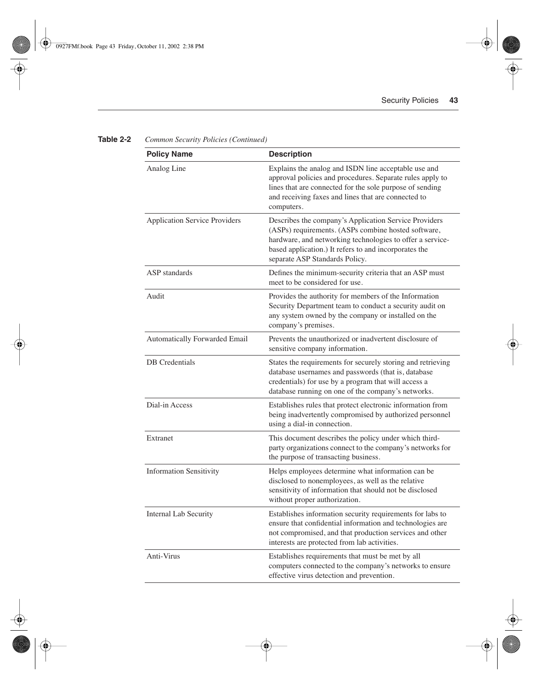| <b>Policy Name</b>                   | <b>Description</b>                                                                                                                                                                                                                                                   |
|--------------------------------------|----------------------------------------------------------------------------------------------------------------------------------------------------------------------------------------------------------------------------------------------------------------------|
| Analog Line                          | Explains the analog and ISDN line acceptable use and<br>approval policies and procedures. Separate rules apply to<br>lines that are connected for the sole purpose of sending<br>and receiving faxes and lines that are connected to<br>computers.                   |
| <b>Application Service Providers</b> | Describes the company's Application Service Providers<br>(ASPs) requirements. (ASPs combine hosted software,<br>hardware, and networking technologies to offer a service-<br>based application.) It refers to and incorporates the<br>separate ASP Standards Policy. |
| ASP standards                        | Defines the minimum-security criteria that an ASP must<br>meet to be considered for use.                                                                                                                                                                             |
| Audit                                | Provides the authority for members of the Information<br>Security Department team to conduct a security audit on<br>any system owned by the company or installed on the<br>company's premises.                                                                       |
| Automatically Forwarded Email        | Prevents the unauthorized or inadvertent disclosure of<br>sensitive company information.                                                                                                                                                                             |
| <b>DB</b> Credentials                | States the requirements for securely storing and retrieving<br>database usernames and passwords (that is, database<br>credentials) for use by a program that will access a<br>database running on one of the company's networks.                                     |
| Dial-in Access                       | Establishes rules that protect electronic information from<br>being inadvertently compromised by authorized personnel<br>using a dial-in connection.                                                                                                                 |
| Extranet                             | This document describes the policy under which third-<br>party organizations connect to the company's networks for<br>the purpose of transacting business.                                                                                                           |
| <b>Information Sensitivity</b>       | Helps employees determine what information can be<br>disclosed to nonemployees, as well as the relative<br>sensitivity of information that should not be disclosed<br>without proper authorization.                                                                  |
| Internal Lab Security                | Establishes information security requirements for labs to<br>ensure that confidential information and technologies are<br>not compromised, and that production services and other<br>interests are protected from lab activities.                                    |
| Anti-Virus                           | Establishes requirements that must be met by all<br>computers connected to the company's networks to ensure<br>effective virus detection and prevention.                                                                                                             |

#### **Table 2-2** *Common Security Policies (Continued)*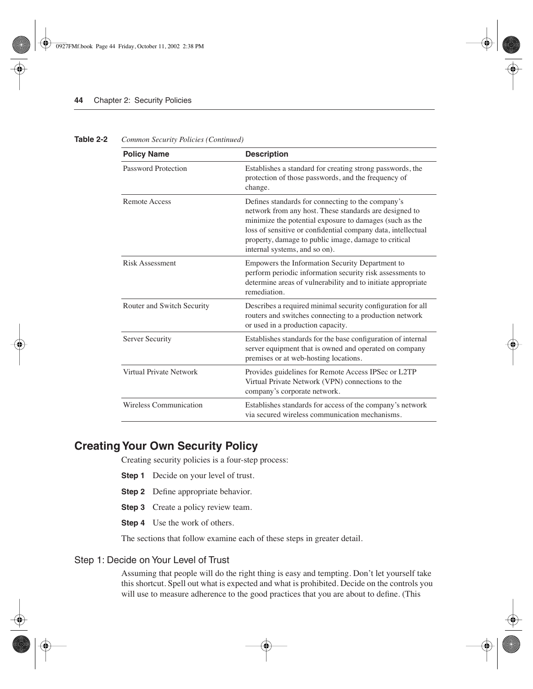| <b>Policy Name</b>         | <b>Description</b>                                                                                                                                                                                                                                                                                                              |
|----------------------------|---------------------------------------------------------------------------------------------------------------------------------------------------------------------------------------------------------------------------------------------------------------------------------------------------------------------------------|
| Password Protection        | Establishes a standard for creating strong passwords, the<br>protection of those passwords, and the frequency of<br>change.                                                                                                                                                                                                     |
| <b>Remote Access</b>       | Defines standards for connecting to the company's<br>network from any host. These standards are designed to<br>minimize the potential exposure to damages (such as the<br>loss of sensitive or confidential company data, intellectual<br>property, damage to public image, damage to critical<br>internal systems, and so on). |
| <b>Risk Assessment</b>     | Empowers the Information Security Department to<br>perform periodic information security risk assessments to<br>determine areas of vulnerability and to initiate appropriate<br>remediation.                                                                                                                                    |
| Router and Switch Security | Describes a required minimal security configuration for all<br>routers and switches connecting to a production network<br>or used in a production capacity.                                                                                                                                                                     |
| Server Security            | Establishes standards for the base configuration of internal<br>server equipment that is owned and operated on company<br>premises or at web-hosting locations.                                                                                                                                                                 |
| Virtual Private Network    | Provides guidelines for Remote Access IPSec or L2TP<br>Virtual Private Network (VPN) connections to the<br>company's corporate network.                                                                                                                                                                                         |
| Wireless Communication     | Establishes standards for access of the company's network<br>via secured wireless communication mechanisms.                                                                                                                                                                                                                     |

#### **Table 2-2** *Common Security Policies (Continued)*

## **Creating Your Own Security Policy**

Creating security policies is a four-step process:

- **Step 1** Decide on your level of trust.
- **Step 2** Define appropriate behavior.
- **Step 3** Create a policy review team.
- **Step 4** Use the work of others.

The sections that follow examine each of these steps in greater detail.

#### Step 1: Decide on Your Level of Trust

Assuming that people will do the right thing is easy and tempting. Don't let yourself take this shortcut. Spell out what is expected and what is prohibited. Decide on the controls you will use to measure adherence to the good practices that you are about to define. (This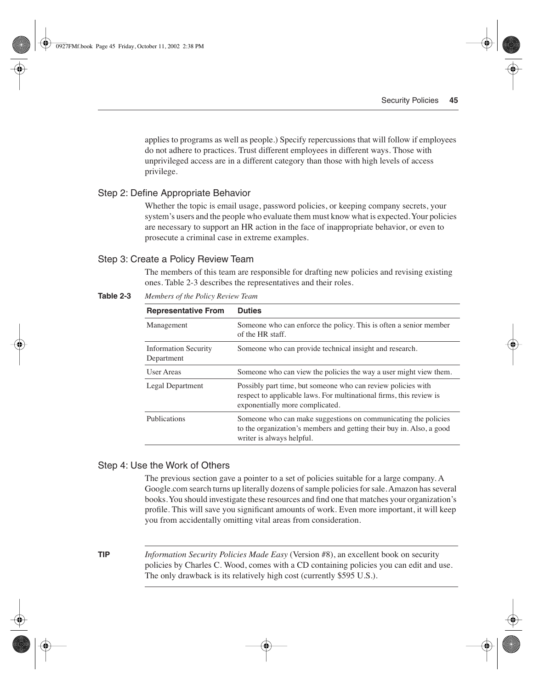applies to programs as well as people.) Specify repercussions that will follow if employees do not adhere to practices. Trust different employees in different ways. Those with unprivileged access are in a different category than those with high levels of access privilege.

#### Step 2: Define Appropriate Behavior

Whether the topic is email usage, password policies, or keeping company secrets, your system's users and the people who evaluate them must know what is expected. Your policies are necessary to support an HR action in the face of inappropriate behavior, or even to prosecute a criminal case in extreme examples.

#### Step 3: Create a Policy Review Team

The members of this team are responsible for drafting new policies and revising existing ones. Table 2-3 describes the representatives and their roles.

**Table 2-3** *Members of the Policy Review Team*

| <b>Representative From</b>                | <b>Duties</b>                                                                                                                                                          |
|-------------------------------------------|------------------------------------------------------------------------------------------------------------------------------------------------------------------------|
| Management                                | Someone who can enforce the policy. This is often a senior member<br>of the HR staff.                                                                                  |
| <b>Information Security</b><br>Department | Someone who can provide technical insight and research.                                                                                                                |
| User Areas                                | Someone who can view the policies the way a user might view them.                                                                                                      |
| Legal Department                          | Possibly part time, but someone who can review policies with<br>respect to applicable laws. For multinational firms, this review is<br>exponentially more complicated. |
| Publications                              | Someone who can make suggestions on communicating the policies<br>to the organization's members and getting their buy in. Also, a good<br>writer is always helpful.    |

#### Step 4: Use the Work of Others

The previous section gave a pointer to a set of policies suitable for a large company. A Google.com search turns up literally dozens of sample policies for sale. Amazon has several books. You should investigate these resources and find one that matches your organization's profile. This will save you significant amounts of work. Even more important, it will keep you from accidentally omitting vital areas from consideration.

**TIP** *Information Security Policies Made Easy* (Version #8), an excellent book on security policies by Charles C. Wood, comes with a CD containing policies you can edit and use. The only drawback is its relatively high cost (currently \$595 U.S.).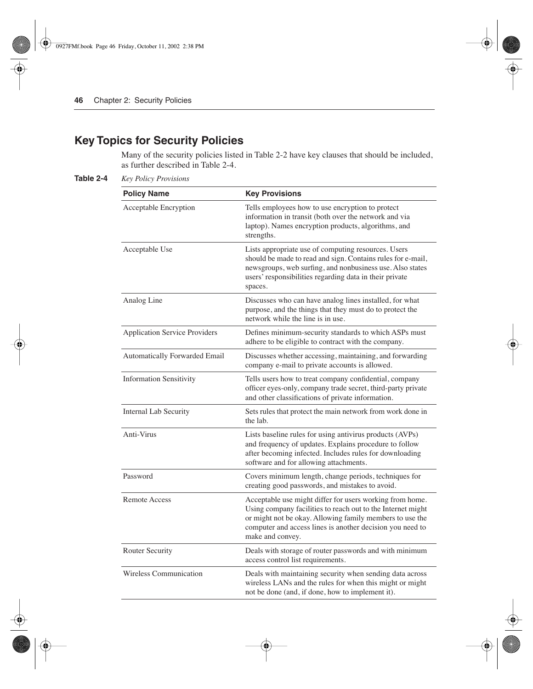## **Key Topics for Security Policies**

Many of the security policies listed in Table 2-2 have key clauses that should be included, as further described in Table 2-4.

**Table 2-4** *Key Policy Provisions*

| <b>Policy Name</b>                   | <b>Key Provisions</b>                                                                                                                                                                                                                                                |
|--------------------------------------|----------------------------------------------------------------------------------------------------------------------------------------------------------------------------------------------------------------------------------------------------------------------|
| Acceptable Encryption                | Tells employees how to use encryption to protect<br>information in transit (both over the network and via<br>laptop). Names encryption products, algorithms, and<br>strengths.                                                                                       |
| Acceptable Use                       | Lists appropriate use of computing resources. Users<br>should be made to read and sign. Contains rules for e-mail,<br>newsgroups, web surfing, and nonbusiness use. Also states<br>users' responsibilities regarding data in their private<br>spaces.                |
| Analog Line                          | Discusses who can have analog lines installed, for what<br>purpose, and the things that they must do to protect the<br>network while the line is in use.                                                                                                             |
| <b>Application Service Providers</b> | Defines minimum-security standards to which ASPs must<br>adhere to be eligible to contract with the company.                                                                                                                                                         |
| Automatically Forwarded Email        | Discusses whether accessing, maintaining, and forwarding<br>company e-mail to private accounts is allowed.                                                                                                                                                           |
| <b>Information Sensitivity</b>       | Tells users how to treat company confidential, company<br>officer eyes-only, company trade secret, third-party private<br>and other classifications of private information.                                                                                          |
| Internal Lab Security                | Sets rules that protect the main network from work done in<br>the lab.                                                                                                                                                                                               |
| Anti-Virus                           | Lists baseline rules for using antivirus products (AVPs)<br>and frequency of updates. Explains procedure to follow<br>after becoming infected. Includes rules for downloading<br>software and for allowing attachments.                                              |
| Password                             | Covers minimum length, change periods, techniques for<br>creating good passwords, and mistakes to avoid.                                                                                                                                                             |
| <b>Remote Access</b>                 | Acceptable use might differ for users working from home.<br>Using company facilities to reach out to the Internet might<br>or might not be okay. Allowing family members to use the<br>computer and access lines is another decision you need to<br>make and convey. |
| Router Security                      | Deals with storage of router passwords and with minimum<br>access control list requirements.                                                                                                                                                                         |
| Wireless Communication               | Deals with maintaining security when sending data across<br>wireless LANs and the rules for when this might or might<br>not be done (and, if done, how to implement it).                                                                                             |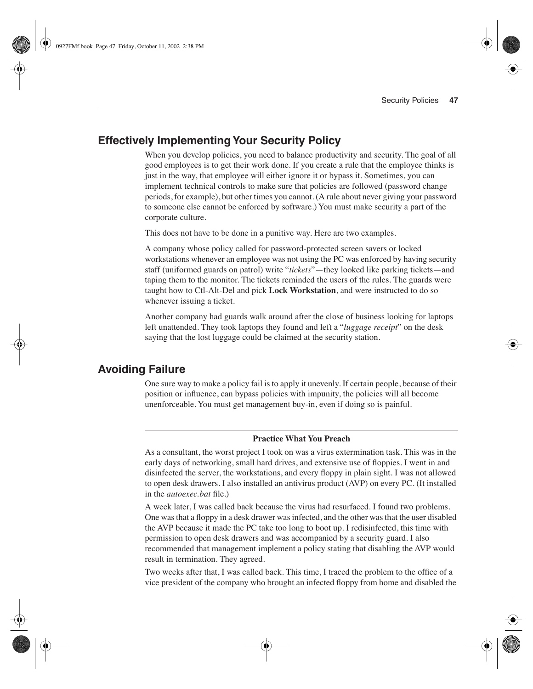### **Effectively Implementing Your Security Policy**

When you develop policies, you need to balance productivity and security. The goal of all good employees is to get their work done. If you create a rule that the employee thinks is just in the way, that employee will either ignore it or bypass it. Sometimes, you can implement technical controls to make sure that policies are followed (password change periods, for example), but other times you cannot. (A rule about never giving your password to someone else cannot be enforced by software.) You must make security a part of the corporate culture.

This does not have to be done in a punitive way. Here are two examples.

A company whose policy called for password-protected screen savers or locked workstations whenever an employee was not using the PC was enforced by having security staff (uniformed guards on patrol) write "*tickets*"—they looked like parking tickets—and taping them to the monitor. The tickets reminded the users of the rules. The guards were taught how to Ctl-Alt-Del and pick **Lock Workstation**, and were instructed to do so whenever issuing a ticket.

Another company had guards walk around after the close of business looking for laptops left unattended. They took laptops they found and left a "*luggage receipt*" on the desk saying that the lost luggage could be claimed at the security station.

## **Avoiding Failure**

One sure way to make a policy fail is to apply it unevenly. If certain people, because of their position or influence, can bypass policies with impunity, the policies will all become unenforceable. You must get management buy-in, even if doing so is painful.

**Practice What You Preach**

As a consultant, the worst project I took on was a virus extermination task. This was in the early days of networking, small hard drives, and extensive use of floppies. I went in and disinfected the server, the workstations, and every floppy in plain sight. I was not allowed to open desk drawers. I also installed an antivirus product (AVP) on every PC. (It installed in the *autoexec.bat* file.)

A week later, I was called back because the virus had resurfaced. I found two problems. One was that a floppy in a desk drawer was infected, and the other was that the user disabled the AVP because it made the PC take too long to boot up. I redisinfected, this time with permission to open desk drawers and was accompanied by a security guard. I also recommended that management implement a policy stating that disabling the AVP would result in termination. They agreed.

Two weeks after that, I was called back. This time, I traced the problem to the office of a vice president of the company who brought an infected floppy from home and disabled the